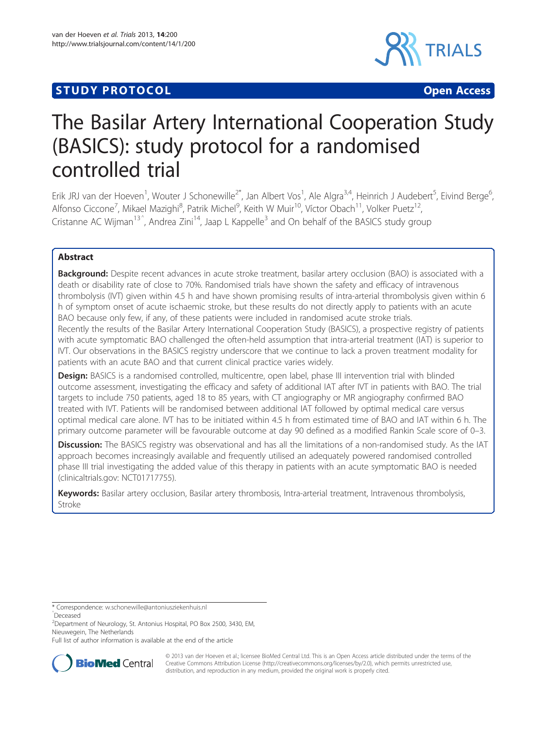## **STUDY PROTOCOL CONSUMING THE RESERVE ACCESS**



# The Basilar Artery International Cooperation Study (BASICS): study protocol for a randomised controlled trial

Erik JRJ van der Hoeven<sup>1</sup>, Wouter J Schonewille<sup>2\*</sup>, Jan Albert Vos<sup>1</sup>, Ale Algra<sup>3,4</sup>, Heinrich J Audebert<sup>5</sup>, Eivind Berge<sup>6</sup> , Alfonso Ciccone<sup>7</sup>, Mikael Mazighi<sup>8</sup>, Patrik Michel<sup>9</sup>, Keith W Muir<sup>10</sup>, Víctor Obach<sup>11</sup>, Volker Puetz<sup>12</sup>, Cristanne AC Wijman<sup>13</sup><sup>\*</sup>, Andrea Zini<sup>14</sup>, Jaap L Kappelle<sup>3</sup> and On behalf of the BASICS study group

### Abstract

Background: Despite recent advances in acute stroke treatment, basilar artery occlusion (BAO) is associated with a death or disability rate of close to 70%. Randomised trials have shown the safety and efficacy of intravenous thrombolysis (IVT) given within 4.5 h and have shown promising results of intra-arterial thrombolysis given within 6 h of symptom onset of acute ischaemic stroke, but these results do not directly apply to patients with an acute BAO because only few, if any, of these patients were included in randomised acute stroke trials. Recently the results of the Basilar Artery International Cooperation Study (BASICS), a prospective registry of patients with acute symptomatic BAO challenged the often-held assumption that intra-arterial treatment (IAT) is superior to IVT. Our observations in the BASICS registry underscore that we continue to lack a proven treatment modality for patients with an acute BAO and that current clinical practice varies widely.

**Design:** BASICS is a randomised controlled, multicentre, open label, phase III intervention trial with blinded outcome assessment, investigating the efficacy and safety of additional IAT after IVT in patients with BAO. The trial targets to include 750 patients, aged 18 to 85 years, with CT angiography or MR angiography confirmed BAO treated with IVT. Patients will be randomised between additional IAT followed by optimal medical care versus optimal medical care alone. IVT has to be initiated within 4.5 h from estimated time of BAO and IAT within 6 h. The primary outcome parameter will be favourable outcome at day 90 defined as a modified Rankin Scale score of 0–3.

Discussion: The BASICS registry was observational and has all the limitations of a non-randomised study. As the IAT approach becomes increasingly available and frequently utilised an adequately powered randomised controlled phase III trial investigating the added value of this therapy in patients with an acute symptomatic BAO is needed (clinicaltrials.gov: NCT01717755).

Keywords: Basilar artery occlusion, Basilar artery thrombosis, Intra-arterial treatment, Intravenous thrombolysis, Stroke

\* Correspondence: [w.schonewille@antoniusziekenhuis.nl](mailto:w.schonewille@antoniusziekenhuis.nl) ^

Deceased

2 Department of Neurology, St. Antonius Hospital, PO Box 2500, 3430, EM, Nieuwegein, The Netherlands

Full list of author information is available at the end of the article



© 2013 van der Hoeven et al.; licensee BioMed Central Ltd. This is an Open Access article distributed under the terms of the Creative Commons Attribution License ([http://creativecommons.org/licenses/by/2.0](www.basicstrial.com)), which permits unrestricted use, distribution, and reproduction in any medium, provided the original work is properly cited.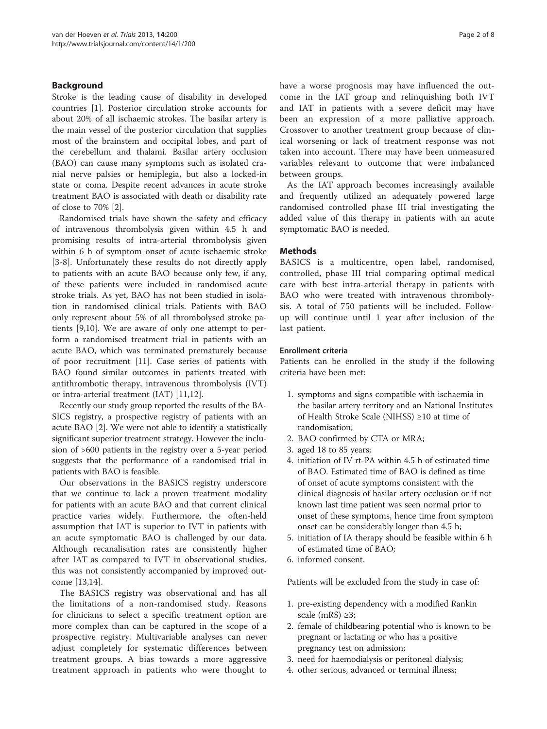#### Background

Stroke is the leading cause of disability in developed countries [[1](#page-6-0)]. Posterior circulation stroke accounts for about 20% of all ischaemic strokes. The basilar artery is the main vessel of the posterior circulation that supplies most of the brainstem and occipital lobes, and part of the cerebellum and thalami. Basilar artery occlusion (BAO) can cause many symptoms such as isolated cranial nerve palsies or hemiplegia, but also a locked-in state or coma. Despite recent advances in acute stroke treatment BAO is associated with death or disability rate of close to 70% [[2\]](#page-6-0).

Randomised trials have shown the safety and efficacy of intravenous thrombolysis given within 4.5 h and promising results of intra-arterial thrombolysis given within 6 h of symptom onset of acute ischaemic stroke [[3](#page-6-0)[-8](#page-7-0)]. Unfortunately these results do not directly apply to patients with an acute BAO because only few, if any, of these patients were included in randomised acute stroke trials. As yet, BAO has not been studied in isolation in randomised clinical trials. Patients with BAO only represent about 5% of all thrombolysed stroke patients [\[9,10](#page-7-0)]. We are aware of only one attempt to perform a randomised treatment trial in patients with an acute BAO, which was terminated prematurely because of poor recruitment [\[11](#page-7-0)]. Case series of patients with BAO found similar outcomes in patients treated with antithrombotic therapy, intravenous thrombolysis (IVT) or intra-arterial treatment (IAT) [[11](#page-7-0),[12](#page-7-0)].

Recently our study group reported the results of the BA-SICS registry, a prospective registry of patients with an acute BAO [\[2](#page-6-0)]. We were not able to identify a statistically significant superior treatment strategy. However the inclusion of >600 patients in the registry over a 5-year period suggests that the performance of a randomised trial in patients with BAO is feasible.

Our observations in the BASICS registry underscore that we continue to lack a proven treatment modality for patients with an acute BAO and that current clinical practice varies widely. Furthermore, the often-held assumption that IAT is superior to IVT in patients with an acute symptomatic BAO is challenged by our data. Although recanalisation rates are consistently higher after IAT as compared to IVT in observational studies, this was not consistently accompanied by improved outcome [[13,14\]](#page-7-0).

The BASICS registry was observational and has all the limitations of a non-randomised study. Reasons for clinicians to select a specific treatment option are more complex than can be captured in the scope of a prospective registry. Multivariable analyses can never adjust completely for systematic differences between treatment groups. A bias towards a more aggressive treatment approach in patients who were thought to have a worse prognosis may have influenced the outcome in the IAT group and relinquishing both IVT and IAT in patients with a severe deficit may have been an expression of a more palliative approach. Crossover to another treatment group because of clinical worsening or lack of treatment response was not taken into account. There may have been unmeasured variables relevant to outcome that were imbalanced between groups.

As the IAT approach becomes increasingly available and frequently utilized an adequately powered large randomised controlled phase III trial investigating the added value of this therapy in patients with an acute symptomatic BAO is needed.

#### **Methods**

BASICS is a multicentre, open label, randomised, controlled, phase III trial comparing optimal medical care with best intra-arterial therapy in patients with BAO who were treated with intravenous thrombolysis. A total of 750 patients will be included. Followup will continue until 1 year after inclusion of the last patient.

#### Enrollment criteria

Patients can be enrolled in the study if the following criteria have been met:

- 1. symptoms and signs compatible with ischaemia in the basilar artery territory and an National Institutes of Health Stroke Scale (NIHSS) ≥10 at time of randomisation;
- 2. BAO confirmed by CTA or MRA;
- 3. aged 18 to 85 years;
- 4. initiation of IV rt-PA within 4.5 h of estimated time of BAO. Estimated time of BAO is defined as time of onset of acute symptoms consistent with the clinical diagnosis of basilar artery occlusion or if not known last time patient was seen normal prior to onset of these symptoms, hence time from symptom onset can be considerably longer than 4.5 h;
- 5. initiation of IA therapy should be feasible within 6 h of estimated time of BAO;
- 6. informed consent.

Patients will be excluded from the study in case of:

- 1. pre-existing dependency with a modified Rankin scale (mRS)  $\geq 3$ ;
- 2. female of childbearing potential who is known to be pregnant or lactating or who has a positive pregnancy test on admission;
- 3. need for haemodialysis or peritoneal dialysis;
- 4. other serious, advanced or terminal illness;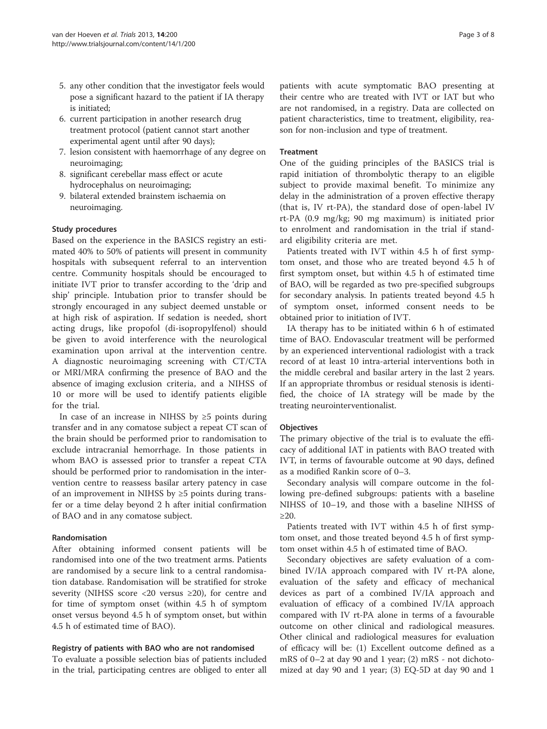- 5. any other condition that the investigator feels would pose a significant hazard to the patient if IA therapy is initiated;
- 6. current participation in another research drug treatment protocol (patient cannot start another experimental agent until after 90 days);
- 7. lesion consistent with haemorrhage of any degree on neuroimaging;
- 8. significant cerebellar mass effect or acute hydrocephalus on neuroimaging;
- 9. bilateral extended brainstem ischaemia on neuroimaging.

#### Study procedures

Based on the experience in the BASICS registry an estimated 40% to 50% of patients will present in community hospitals with subsequent referral to an intervention centre. Community hospitals should be encouraged to initiate IVT prior to transfer according to the 'drip and ship' principle. Intubation prior to transfer should be strongly encouraged in any subject deemed unstable or at high risk of aspiration. If sedation is needed, short acting drugs, like propofol (di-isopropylfenol) should be given to avoid interference with the neurological examination upon arrival at the intervention centre. A diagnostic neuroimaging screening with CT/CTA or MRI/MRA confirming the presence of BAO and the absence of imaging exclusion criteria, and a NIHSS of 10 or more will be used to identify patients eligible for the trial.

In case of an increase in NIHSS by  $\geq$ 5 points during transfer and in any comatose subject a repeat CT scan of the brain should be performed prior to randomisation to exclude intracranial hemorrhage. In those patients in whom BAO is assessed prior to transfer a repeat CTA should be performed prior to randomisation in the intervention centre to reassess basilar artery patency in case of an improvement in NIHSS by ≥5 points during transfer or a time delay beyond 2 h after initial confirmation of BAO and in any comatose subject.

#### Randomisation

After obtaining informed consent patients will be randomised into one of the two treatment arms. Patients are randomised by a secure link to a central randomisation database. Randomisation will be stratified for stroke severity (NIHSS score <20 versus ≥20), for centre and for time of symptom onset (within 4.5 h of symptom onset versus beyond 4.5 h of symptom onset, but within 4.5 h of estimated time of BAO).

#### Registry of patients with BAO who are not randomised

To evaluate a possible selection bias of patients included in the trial, participating centres are obliged to enter all

patients with acute symptomatic BAO presenting at their centre who are treated with IVT or IAT but who are not randomised, in a registry. Data are collected on patient characteristics, time to treatment, eligibility, reason for non-inclusion and type of treatment.

#### Treatment

One of the guiding principles of the BASICS trial is rapid initiation of thrombolytic therapy to an eligible subject to provide maximal benefit. To minimize any delay in the administration of a proven effective therapy (that is, IV rt-PA), the standard dose of open-label IV rt-PA (0.9 mg/kg; 90 mg maximum) is initiated prior to enrolment and randomisation in the trial if standard eligibility criteria are met.

Patients treated with IVT within 4.5 h of first symptom onset, and those who are treated beyond 4.5 h of first symptom onset, but within 4.5 h of estimated time of BAO, will be regarded as two pre-specified subgroups for secondary analysis. In patients treated beyond 4.5 h of symptom onset, informed consent needs to be obtained prior to initiation of IVT.

IA therapy has to be initiated within 6 h of estimated time of BAO. Endovascular treatment will be performed by an experienced interventional radiologist with a track record of at least 10 intra-arterial interventions both in the middle cerebral and basilar artery in the last 2 years. If an appropriate thrombus or residual stenosis is identified, the choice of IA strategy will be made by the treating neurointerventionalist.

#### **Objectives**

The primary objective of the trial is to evaluate the efficacy of additional IAT in patients with BAO treated with IVT, in terms of favourable outcome at 90 days, defined as a modified Rankin score of 0–3.

Secondary analysis will compare outcome in the following pre-defined subgroups: patients with a baseline NIHSS of 10–19, and those with a baseline NIHSS of  $\geq$  20.

Patients treated with IVT within 4.5 h of first symptom onset, and those treated beyond 4.5 h of first symptom onset within 4.5 h of estimated time of BAO.

Secondary objectives are safety evaluation of a combined IV/IA approach compared with IV rt-PA alone, evaluation of the safety and efficacy of mechanical devices as part of a combined IV/IA approach and evaluation of efficacy of a combined IV/IA approach compared with IV rt-PA alone in terms of a favourable outcome on other clinical and radiological measures. Other clinical and radiological measures for evaluation of efficacy will be: (1) Excellent outcome defined as a mRS of 0–2 at day 90 and 1 year; (2) mRS - not dichotomized at day 90 and 1 year; (3) EQ-5D at day 90 and 1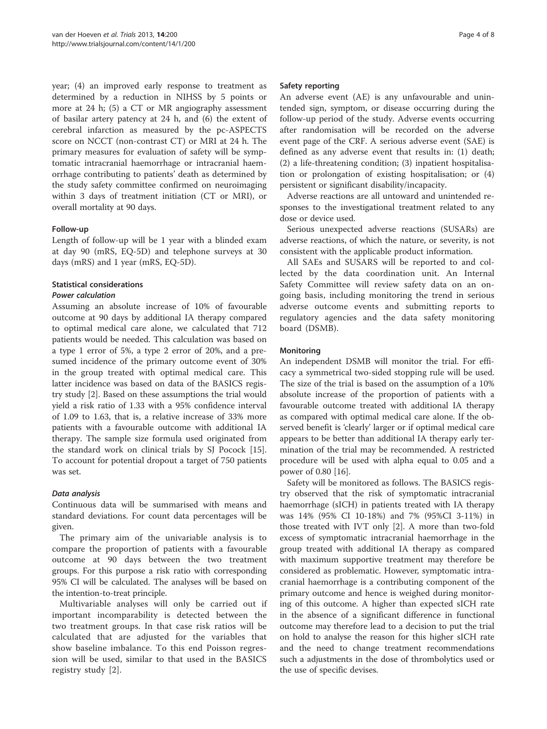year; (4) an improved early response to treatment as determined by a reduction in NIHSS by 5 points or more at 24 h; (5) a CT or MR angiography assessment of basilar artery patency at 24 h, and (6) the extent of cerebral infarction as measured by the pc-ASPECTS score on NCCT (non-contrast CT) or MRI at 24 h. The primary measures for evaluation of safety will be symptomatic intracranial haemorrhage or intracranial haemorrhage contributing to patients' death as determined by the study safety committee confirmed on neuroimaging within 3 days of treatment initiation (CT or MRI), or overall mortality at 90 days.

#### Follow-up

Length of follow-up will be 1 year with a blinded exam at day 90 (mRS, EQ-5D) and telephone surveys at 30 days (mRS) and 1 year (mRS, EQ-5D).

#### Statistical considerations

#### **Power calculation**

Assuming an absolute increase of 10% of favourable outcome at 90 days by additional IA therapy compared to optimal medical care alone, we calculated that 712 patients would be needed. This calculation was based on a type 1 error of 5%, a type 2 error of 20%, and a presumed incidence of the primary outcome event of 30% in the group treated with optimal medical care. This latter incidence was based on data of the BASICS registry study [[2\]](#page-6-0). Based on these assumptions the trial would yield a risk ratio of 1.33 with a 95% confidence interval of 1.09 to 1.63, that is, a relative increase of 33% more patients with a favourable outcome with additional IA therapy. The sample size formula used originated from the standard work on clinical trials by SJ Pocock [\[15](#page-7-0)]. To account for potential dropout a target of 750 patients was set.

Continuous data will be summarised with means and standard deviations. For count data percentages will be given.

The primary aim of the univariable analysis is to compare the proportion of patients with a favourable outcome at 90 days between the two treatment groups. For this purpose a risk ratio with corresponding 95% CI will be calculated. The analyses will be based on the intention-to-treat principle.

Multivariable analyses will only be carried out if important incomparability is detected between the two treatment groups. In that case risk ratios will be calculated that are adjusted for the variables that show baseline imbalance. To this end Poisson regression will be used, similar to that used in the BASICS registry study [[2\]](#page-6-0).

#### Safety reporting

An adverse event (AE) is any unfavourable and unintended sign, symptom, or disease occurring during the follow-up period of the study. Adverse events occurring after randomisation will be recorded on the adverse event page of the CRF. A serious adverse event (SAE) is defined as any adverse event that results in: (1) death; (2) a life-threatening condition; (3) inpatient hospitalisation or prolongation of existing hospitalisation; or (4) persistent or significant disability/incapacity.

Adverse reactions are all untoward and unintended responses to the investigational treatment related to any dose or device used.

Serious unexpected adverse reactions (SUSARs) are adverse reactions, of which the nature, or severity, is not consistent with the applicable product information.

All SAEs and SUSARS will be reported to and collected by the data coordination unit. An Internal Safety Committee will review safety data on an ongoing basis, including monitoring the trend in serious adverse outcome events and submitting reports to regulatory agencies and the data safety monitoring board (DSMB).

#### **Monitoring**

An independent DSMB will monitor the trial. For efficacy a symmetrical two-sided stopping rule will be used. The size of the trial is based on the assumption of a 10% absolute increase of the proportion of patients with a favourable outcome treated with additional IA therapy as compared with optimal medical care alone. If the observed benefit is 'clearly' larger or if optimal medical care appears to be better than additional IA therapy early termination of the trial may be recommended. A restricted procedure will be used with alpha equal to 0.05 and a power of 0.80 [[16\]](#page-7-0).

Safety will be monitored as follows. The BASICS registry observed that the risk of symptomatic intracranial haemorrhage (sICH) in patients treated with IA therapy was 14% (95% CI 10-18%) and 7% (95%CI 3-11%) in those treated with IVT only [[2\]](#page-6-0). A more than two-fold excess of symptomatic intracranial haemorrhage in the group treated with additional IA therapy as compared with maximum supportive treatment may therefore be considered as problematic. However, symptomatic intracranial haemorrhage is a contributing component of the primary outcome and hence is weighed during monitoring of this outcome. A higher than expected sICH rate in the absence of a significant difference in functional outcome may therefore lead to a decision to put the trial on hold to analyse the reason for this higher sICH rate and the need to change treatment recommendations such a adjustments in the dose of thrombolytics used or the use of specific devises.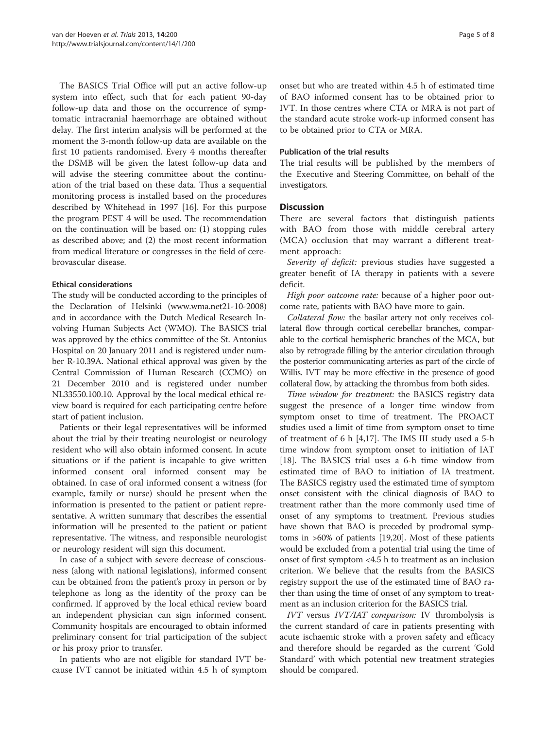The BASICS Trial Office will put an active follow-up system into effect, such that for each patient 90-day follow-up data and those on the occurrence of symptomatic intracranial haemorrhage are obtained without delay. The first interim analysis will be performed at the moment the 3-month follow-up data are available on the first 10 patients randomised. Every 4 months thereafter the DSMB will be given the latest follow-up data and will advise the steering committee about the continuation of the trial based on these data. Thus a sequential monitoring process is installed based on the procedures described by Whitehead in 1997 [\[16](#page-7-0)]. For this purpose the program PEST 4 will be used. The recommendation on the continuation will be based on: (1) stopping rules as described above; and (2) the most recent information from medical literature or congresses in the field of cerebrovascular disease.

#### Ethical considerations

The study will be conducted according to the principles of the Declaration of Helsinki (www.wma.net21-10-2008) and in accordance with the Dutch Medical Research Involving Human Subjects Act (WMO). The BASICS trial was approved by the ethics committee of the St. Antonius Hospital on 20 January 2011 and is registered under number R-10.39A. National ethical approval was given by the Central Commission of Human Research (CCMO) on 21 December 2010 and is registered under number NL33550.100.10. Approval by the local medical ethical review board is required for each participating centre before start of patient inclusion.

Patients or their legal representatives will be informed about the trial by their treating neurologist or neurology resident who will also obtain informed consent. In acute situations or if the patient is incapable to give written informed consent oral informed consent may be obtained. In case of oral informed consent a witness (for example, family or nurse) should be present when the information is presented to the patient or patient representative. A written summary that describes the essential information will be presented to the patient or patient representative. The witness, and responsible neurologist or neurology resident will sign this document.

In case of a subject with severe decrease of consciousness (along with national legislations), informed consent can be obtained from the patient's proxy in person or by telephone as long as the identity of the proxy can be confirmed. If approved by the local ethical review board an independent physician can sign informed consent. Community hospitals are encouraged to obtain informed preliminary consent for trial participation of the subject or his proxy prior to transfer.

In patients who are not eligible for standard IVT because IVT cannot be initiated within 4.5 h of symptom

onset but who are treated within 4.5 h of estimated time of BAO informed consent has to be obtained prior to IVT. In those centres where CTA or MRA is not part of the standard acute stroke work-up informed consent has to be obtained prior to CTA or MRA.

#### Publication of the trial results

The trial results will be published by the members of the Executive and Steering Committee, on behalf of the investigators.

#### **Discussion**

There are several factors that distinguish patients with BAO from those with middle cerebral artery (MCA) occlusion that may warrant a different treatment approach:

Severity of deficit: previous studies have suggested a greater benefit of IA therapy in patients with a severe deficit.

High poor outcome rate: because of a higher poor outcome rate, patients with BAO have more to gain.

Collateral flow: the basilar artery not only receives collateral flow through cortical cerebellar branches, comparable to the cortical hemispheric branches of the MCA, but also by retrograde filling by the anterior circulation through the posterior communicating arteries as part of the circle of Willis. IVT may be more effective in the presence of good collateral flow, by attacking the thrombus from both sides.

Time window for treatment: the BASICS registry data suggest the presence of a longer time window from symptom onset to time of treatment. The PROACT studies used a limit of time from symptom onset to time of treatment of 6 h [[4,](#page-6-0)[17\]](#page-7-0). The IMS III study used a 5-h time window from symptom onset to initiation of IAT [[18\]](#page-7-0). The BASICS trial uses a 6-h time window from estimated time of BAO to initiation of IA treatment. The BASICS registry used the estimated time of symptom onset consistent with the clinical diagnosis of BAO to treatment rather than the more commonly used time of onset of any symptoms to treatment. Previous studies have shown that BAO is preceded by prodromal symptoms in >60% of patients [[19,20](#page-7-0)]. Most of these patients would be excluded from a potential trial using the time of onset of first symptom <4.5 h to treatment as an inclusion criterion. We believe that the results from the BASICS registry support the use of the estimated time of BAO rather than using the time of onset of any symptom to treatment as an inclusion criterion for the BASICS trial.

IVT versus IVT/IAT comparison: IV thrombolysis is the current standard of care in patients presenting with acute ischaemic stroke with a proven safety and efficacy and therefore should be regarded as the current 'Gold Standard' with which potential new treatment strategies should be compared.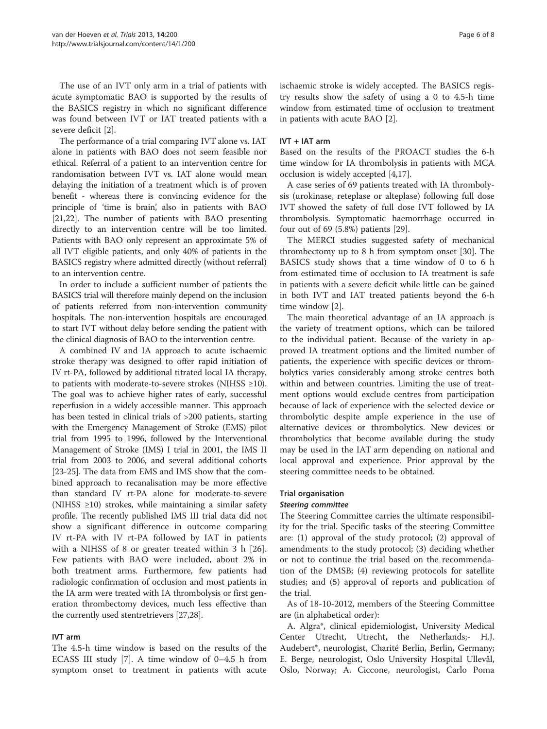The use of an IVT only arm in a trial of patients with acute symptomatic BAO is supported by the results of the BASICS registry in which no significant difference was found between IVT or IAT treated patients with a severe deficit [\[2](#page-6-0)].

The performance of a trial comparing IVT alone vs. IAT alone in patients with BAO does not seem feasible nor ethical. Referral of a patient to an intervention centre for randomisation between IVT vs. IAT alone would mean delaying the initiation of a treatment which is of proven benefit - whereas there is convincing evidence for the principle of 'time is brain', also in patients with BAO [[21,22](#page-7-0)]. The number of patients with BAO presenting directly to an intervention centre will be too limited. Patients with BAO only represent an approximate 5% of all IVT eligible patients, and only 40% of patients in the BASICS registry where admitted directly (without referral) to an intervention centre.

In order to include a sufficient number of patients the BASICS trial will therefore mainly depend on the inclusion of patients referred from non-intervention community hospitals. The non-intervention hospitals are encouraged to start IVT without delay before sending the patient with the clinical diagnosis of BAO to the intervention centre.

A combined IV and IA approach to acute ischaemic stroke therapy was designed to offer rapid initiation of IV rt-PA, followed by additional titrated local IA therapy, to patients with moderate-to-severe strokes (NIHSS ≥10). The goal was to achieve higher rates of early, successful reperfusion in a widely accessible manner. This approach has been tested in clinical trials of >200 patients, starting with the Emergency Management of Stroke (EMS) pilot trial from 1995 to 1996, followed by the Interventional Management of Stroke (IMS) I trial in 2001, the IMS II trial from 2003 to 2006, and several additional cohorts [[23](#page-7-0)-[25\]](#page-7-0). The data from EMS and IMS show that the combined approach to recanalisation may be more effective than standard IV rt-PA alone for moderate-to-severe (NIHSS  $\geq$ 10) strokes, while maintaining a similar safety profile. The recently published IMS III trial data did not show a significant difference in outcome comparing IV rt-PA with IV rt-PA followed by IAT in patients with a NIHSS of 8 or greater treated within 3 h [\[26](#page-7-0)]. Few patients with BAO were included, about 2% in both treatment arms. Furthermore, few patients had radiologic confirmation of occlusion and most patients in the IA arm were treated with IA thrombolysis or first generation thrombectomy devices, much less effective than the currently used stentretrievers [[27,28\]](#page-7-0).

#### IVT arm

The 4.5-h time window is based on the results of the ECASS III study [[7\]](#page-7-0). A time window of 0–4.5 h from symptom onset to treatment in patients with acute ischaemic stroke is widely accepted. The BASICS registry results show the safety of using a 0 to 4.5-h time window from estimated time of occlusion to treatment in patients with acute BAO [[2\]](#page-6-0).

#### IVT + IAT arm

Based on the results of the PROACT studies the 6-h time window for IA thrombolysis in patients with MCA occlusion is widely accepted [\[4](#page-6-0)[,17](#page-7-0)].

A case series of 69 patients treated with IA thrombolysis (urokinase, reteplase or alteplase) following full dose IVT showed the safety of full dose IVT followed by IA thrombolysis. Symptomatic haemorrhage occurred in four out of 69 (5.8%) patients [\[29](#page-7-0)].

The MERCI studies suggested safety of mechanical thrombectomy up to 8 h from symptom onset [[30\]](#page-7-0). The BASICS study shows that a time window of 0 to 6 h from estimated time of occlusion to IA treatment is safe in patients with a severe deficit while little can be gained in both IVT and IAT treated patients beyond the 6-h time window [\[2\]](#page-6-0).

The main theoretical advantage of an IA approach is the variety of treatment options, which can be tailored to the individual patient. Because of the variety in approved IA treatment options and the limited number of patients, the experience with specific devices or thrombolytics varies considerably among stroke centres both within and between countries. Limiting the use of treatment options would exclude centres from participation because of lack of experience with the selected device or thrombolytic despite ample experience in the use of alternative devices or thrombolytics. New devices or thrombolytics that become available during the study may be used in the IAT arm depending on national and local approval and experience. Prior approval by the steering committee needs to be obtained.

#### Trial organisation

The Steering Committee carries the ultimate responsibility for the trial. Specific tasks of the steering Committee are: (1) approval of the study protocol; (2) approval of amendments to the study protocol; (3) deciding whether or not to continue the trial based on the recommendation of the DMSB; (4) reviewing protocols for satellite studies; and (5) approval of reports and publication of the trial.

As of 18-10-2012, members of the Steering Committee are (in alphabetical order):

A. Algra\*, clinical epidemiologist, University Medical Center Utrecht, Utrecht, the Netherlands;- H.J. Audebert\*, neurologist, Charité Berlin, Berlin, Germany; E. Berge, neurologist, Oslo University Hospital Ullevål, Oslo, Norway; A. Ciccone, neurologist, Carlo Poma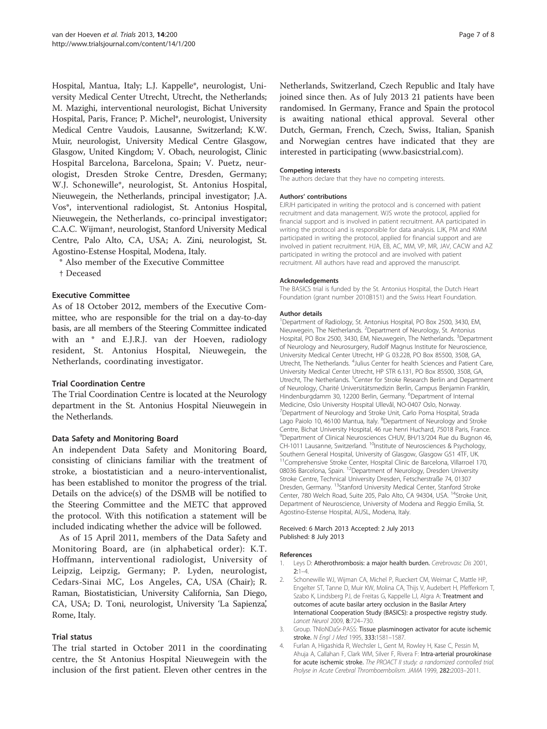<span id="page-6-0"></span>Hospital, Mantua, Italy; L.J. Kappelle\*, neurologist, University Medical Center Utrecht, Utrecht, the Netherlands; M. Mazighi, interventional neurologist, Bichat University Hospital, Paris, France; P. Michel\*, neurologist, University Medical Centre Vaudois, Lausanne, Switzerland; K.W. Muir, neurologist, University Medical Centre Glasgow, Glasgow, United Kingdom; V. Obach, neurologist, Clinic Hospital Barcelona, Barcelona, Spain; V. Puetz, neurologist, Dresden Stroke Centre, Dresden, Germany; W.J. Schonewille\*, neurologist, St. Antonius Hospital, Nieuwegein, the Netherlands, principal investigator; J.A. Vos\*, interventional radiologist, St. Antonius Hospital, Nieuwegein, the Netherlands, co-principal investigator; C.A.C. Wijman†, neurologist, Stanford University Medical Centre, Palo Alto, CA, USA; A. Zini, neurologist, St. Agostino-Estense Hospital, Modena, Italy.

- \* Also member of the Executive Committee
- † Deceased

### Executive Committee

As of 18 October 2012, members of the Executive Committee, who are responsible for the trial on a day-to-day basis, are all members of the Steering Committee indicated with an \* and E.J.R.J. van der Hoeven, radiology resident, St. Antonius Hospital, Nieuwegein, the Netherlands, coordinating investigator.

#### Trial Coordination Centre

The Trial Coordination Centre is located at the Neurology department in the St. Antonius Hospital Nieuwegein in the Netherlands.

#### Data Safety and Monitoring Board

An independent Data Safety and Monitoring Board, consisting of clinicians familiar with the treatment of stroke, a biostatistician and a neuro-interventionalist, has been established to monitor the progress of the trial. Details on the advice(s) of the DSMB will be notified to the Steering Committee and the METC that approved the protocol. With this notification a statement will be included indicating whether the advice will be followed.

As of 15 April 2011, members of the Data Safety and Monitoring Board, are (in alphabetical order): K.T. Hoffmann, interventional radiologist, University of Leipzig, Leipzig, Germany; P. Lyden, neurologist, Cedars-Sinai MC, Los Angeles, CA, USA (Chair); R. Raman, Biostatistician, University California, San Diego, CA, USA; D. Toni, neurologist, University 'La Sapienza', Rome, Italy.

#### Trial status

The trial started in October 2011 in the coordinating centre, the St Antonius Hospital Nieuwegein with the inclusion of the first patient. Eleven other centres in the Netherlands, Switzerland, Czech Republic and Italy have joined since then. As of July 2013 21 patients have been randomised. In Germany, France and Spain the protocol is awaiting national ethical approval. Several other Dutch, German, French, Czech, Swiss, Italian, Spanish and Norwegian centres have indicated that they are interested in participating [\(www.basicstrial.com](www.basicstrial.com)).

#### Competing interests

The authors declare that they have no competing interests.

#### Authors' contributions

EJRJH participated in writing the protocol and is concerned with patient recruitment and data management. WJS wrote the protocol, applied for financial support and is involved in patient recruitment. AA participated in writing the protocol and is responsible for data analysis. LJK, PM and KWM participated in writing the protocol, applied for financial support and are involved in patient recruitment. HJA, EB, AC, MM, VP, MR, JAV, CACW and AZ participated in writing the protocol and are involved with patient recruitment. All authors have read and approved the manuscript.

#### Acknowledgements

The BASICS trial is funded by the St. Antonius Hospital, the Dutch Heart Foundation (grant number 2010B151) and the Swiss Heart Foundation.

#### Author details

<sup>1</sup>Department of Radiology, St. Antonius Hospital, PO Box 2500, 3430, EM, Nieuwegein, The Netherlands. <sup>2</sup>Department of Neurology, St. Antonius Hospital, PO Box 2500, 3430, EM, Nieuwegein, The Netherlands. <sup>3</sup>Department of Neurology and Neurosurgery, Rudolf Magnus Institute for Neuroscience, University Medical Center Utrecht, HP G 03.228, PO Box 85500, 3508, GA, Utrecht, The Netherlands. <sup>4</sup>Julius Center for health Sciences and Patient Care, University Medical Center Utrecht, HP STR 6.131, PO Box 85500, 3508, GA, Utrecht, The Netherlands. <sup>5</sup>Center for Stroke Research Berlin and Department of Neurology, Charité Universitätsmedizin Berlin, Campus Benjamin Franklin, Hindenburgdamm 30, 12200 Berlin, Germany. <sup>6</sup>Department of Internal Medicine, Oslo University Hospital Ullevål, NO-0407 Oslo, Norway. <sup>7</sup>Department of Neurology and Stroke Unit, Carlo Poma Hospital, Strada Lago Paiolo 10, 46100 Mantua, Italy. <sup>8</sup>Department of Neurology and Stroke Centre, Bichat University Hospital, 46 rue henri Huchard, 75018 Paris, France. 9 Department of Clinical Neurosciences CHUV, BH/13/204 Rue du Bugnon 46, CH-1011 Lausanne, Switzerland. <sup>10</sup>Institute of Neurosciences & Psychology, Southern General Hospital, University of Glasgow, Glasgow G51 4TF, UK. <sup>11</sup>Comprehensive Stroke Center, Hospital Clinic de Barcelona, Villarroel 170, 08036 Barcelona, Spain. 12Department of Neurology, Dresden University Stroke Centre, Technical University Dresden, Fetscherstraße 74, 01307 Dresden, Germany. 13Stanford University Medical Center, Stanford Stroke Center, 780 Welch Road, Suite 205, Palo Alto, CA 94304, USA. <sup>14</sup>Stroke Unit, Department of Neuroscience, University of Modena and Reggio Emilia, St. Agostino-Estense Hospital, AUSL, Modena, Italy.

#### Received: 6 March 2013 Accepted: 2 July 2013 Published: 8 July 2013

#### References

- 1. Leys D: Atherothrombosis: a major health burden. Cerebrovasc Dis 2001,  $2:1-4$ .
- 2. Schonewille WJ, Wijman CA, Michel P, Rueckert CM, Weimar C, Mattle HP, Engelter ST, Tanne D, Muir KW, Molina CA, Thijs V, Audebert H, Pfefferkorn T, Szabo K, Lindsberg PJ, de Freitas G, Kappelle LJ, Algra A: Treatment and outcomes of acute basilar artery occlusion in the Basilar Artery International Cooperation Study (BASICS): a prospective registry study. Lancet Neurol 2009, 8:724–730.
- 3. Group. TNIoNDaSr-PASS: Tissue plasminogen activator for acute ischemic stroke. N Engl J Med 1995, 333:1581-1587
- 4. Furlan A, Higashida R, Wechsler L, Gent M, Rowley H, Kase C, Pessin M, Ahuja A, Callahan F, Clark WM, Silver F, Rivera F: Intra-arterial prourokinase for acute ischemic stroke. The PROACT II study: a randomized controlled trial. Prolyse in Acute Cerebral Thromboembolism. JAMA 1999, 282:2003–2011.